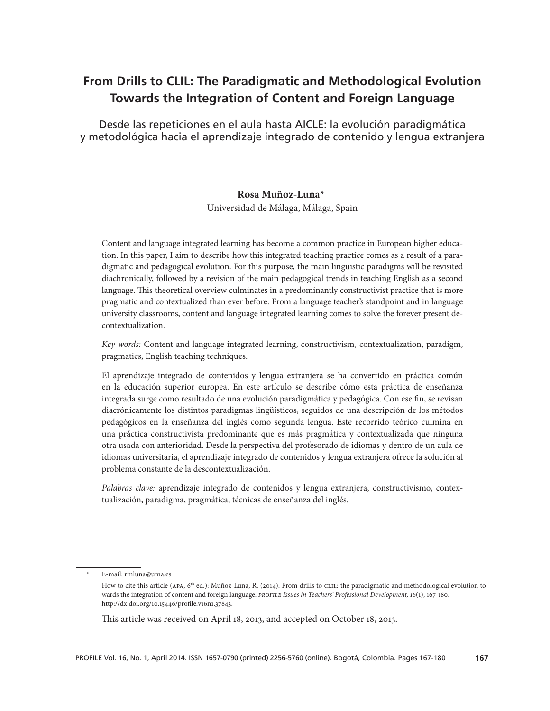# **From Drills to CLIL: The Paradigmatic and Methodological Evolution Towards the Integration of Content and Foreign Language**

Desde las repeticiones en el aula hasta AICLE: la evolución paradigmática y metodológica hacia el aprendizaje integrado de contenido y lengua extranjera

### **Rosa Muñoz-Luna\***<sup>1</sup>

Universidad de Málaga, Málaga, Spain

Content and language integrated learning has become a common practice in European higher education. In this paper, I aim to describe how this integrated teaching practice comes as a result of a paradigmatic and pedagogical evolution. For this purpose, the main linguistic paradigms will be revisited diachronically, followed by a revision of the main pedagogical trends in teaching English as a second language. This theoretical overview culminates in a predominantly constructivist practice that is more pragmatic and contextualized than ever before. From a language teacher's standpoint and in language university classrooms, content and language integrated learning comes to solve the forever present decontextualization.

*Key words:* Content and language integrated learning, constructivism, contextualization, paradigm, pragmatics, English teaching techniques.

El aprendizaje integrado de contenidos y lengua extranjera se ha convertido en práctica común en la educación superior europea. En este artículo se describe cómo esta práctica de enseñanza integrada surge como resultado de una evolución paradigmática y pedagógica. Con ese fin, se revisan diacrónicamente los distintos paradigmas lingüísticos, seguidos de una descripción de los métodos pedagógicos en la enseñanza del inglés como segunda lengua. Este recorrido teórico culmina en una práctica constructivista predominante que es más pragmática y contextualizada que ninguna otra usada con anterioridad. Desde la perspectiva del profesorado de idiomas y dentro de un aula de idiomas universitaria, el aprendizaje integrado de contenidos y lengua extranjera ofrece la solución al problema constante de la descontextualización.

*Palabras clave:* aprendizaje integrado de contenidos y lengua extranjera, constructivismo, contextualización, paradigma, pragmática, técnicas de enseñanza del inglés.

This article was received on April 18, 2013, and accepted on October 18, 2013.

E-mail: rmluna@uma.es

How to cite this article (APA,  $6<sup>th</sup>$  ed.): Muñoz-Luna, R. (2014). From drills to CLIL: the paradigmatic and methodological evolution towards the integration of content and foreign language. *PROFILE Issues in Teachers' Professional Development, 16*(1), 167-180. http://dx.doi.org/10.15446/profile.v16n1.37843.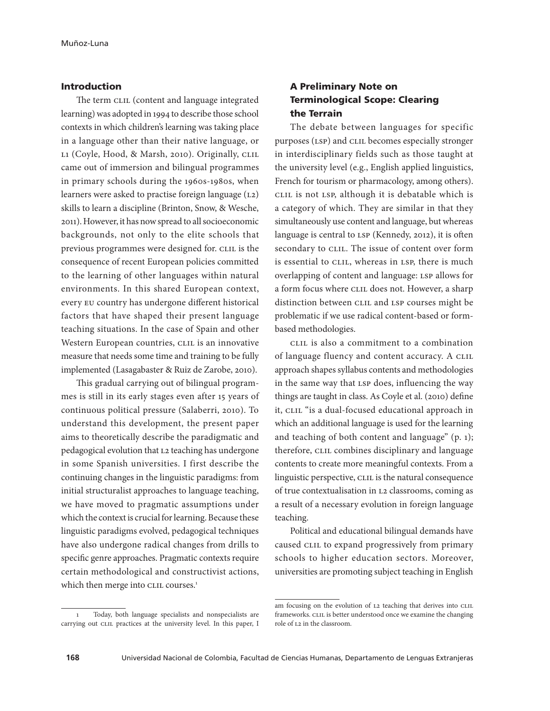### Introduction

The term CLIL (content and language integrated learning) was adopted in 1994 to describe those school contexts in which children's learning was taking place in a language other than their native language, or L1 (Coyle, Hood, & Marsh, 2010). Originally, CLIL came out of immersion and bilingual programmes in primary schools during the 1960s-1980s, when learners were asked to practise foreign language (L2) skills to learn a discipline (Brinton, Snow, & Wesche, 2011). However, it has now spread to all socioeconomic backgrounds, not only to the elite schools that previous programmes were designed for. CLIL is the consequence of recent European policies committed to the learning of other languages within natural environments. In this shared European context, every EU country has undergone different historical factors that have shaped their present language teaching situations. In the case of Spain and other Western European countries, CLIL is an innovative measure that needs some time and training to be fully implemented (Lasagabaster & Ruiz de Zarobe, 2010).

This gradual carrying out of bilingual programmes is still in its early stages even after 15 years of continuous political pressure (Salaberri, 2010). To understand this development, the present paper aims to theoretically describe the paradigmatic and pedagogical evolution that L2 teaching has undergone in some Spanish universities. I first describe the continuing changes in the linguistic paradigms: from initial structuralist approaches to language teaching, we have moved to pragmatic assumptions under which the context is crucial for learning. Because these linguistic paradigms evolved, pedagogical techniques have also undergone radical changes from drills to specific genre approaches. Pragmatic contexts require certain methodological and constructivist actions, which then merge into CLIL courses.<sup>1</sup>

# A Preliminary Note on Terminological Scope: Clearing the Terrain

The debate between languages for specific purposes (LSP) and CLIL becomes especially stronger in interdisciplinary fields such as those taught at the university level (e.g., English applied linguistics, French for tourism or pharmacology, among others). CLIL is not LSP, although it is debatable which is a category of which. They are similar in that they simultaneously use content and language, but whereas language is central to LSP (Kennedy, 2012), it is often secondary to CLIL. The issue of content over form is essential to CLIL, whereas in LSP, there is much overlapping of content and language: LSP allows for a form focus where CLIL does not. However, a sharp distinction between CLIL and LSP courses might be problematic if we use radical content-based or formbased methodologies.

CLIL is also a commitment to a combination of language fluency and content accuracy. A CLIL approach shapes syllabus contents and methodologies in the same way that LSP does, influencing the way things are taught in class. As Coyle et al. (2010) define it, CLIL "is a dual-focused educational approach in which an additional language is used for the learning and teaching of both content and language" (p. 1); therefore, CLIL combines disciplinary and language contents to create more meaningful contexts. From a linguistic perspective, CLIL is the natural consequence of true contextualisation in L2 classrooms, coming as a result of a necessary evolution in foreign language teaching.

Political and educational bilingual demands have caused CLIL to expand progressively from primary schools to higher education sectors. Moreover, universities are promoting subject teaching in English

<sup>1</sup> Today, both language specialists and nonspecialists are carrying out CLIL practices at the university level. In this paper, I

am focusing on the evolution of L2 teaching that derives into CLIL frameworks. CLIL is better understood once we examine the changing role of L2 in the classroom.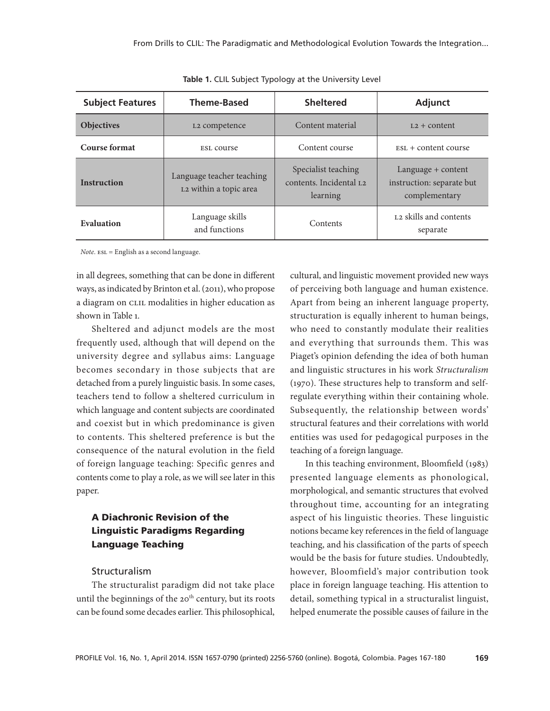| <b>Subject Features</b> | <b>Theme-Based</b>                                  | <b>Sheltered</b>                                                       | <b>Adjunct</b>                                                   |
|-------------------------|-----------------------------------------------------|------------------------------------------------------------------------|------------------------------------------------------------------|
| <b>Objectives</b>       | L <sub>2</sub> competence                           | Content material                                                       | $L2 + \text{content}$                                            |
| <b>Course format</b>    | ESL COUTSe                                          | Content course                                                         | $Est. + content course$                                          |
| <b>Instruction</b>      | Language teacher teaching<br>L2 within a topic area | Specialist teaching<br>contents. Incidental L <sub>2</sub><br>learning | Language + content<br>instruction: separate but<br>complementary |
| Evaluation              | Language skills<br>and functions                    | Contents                                                               | L <sub>2</sub> skills and contents<br>separate                   |

**Table 1.** CLIL Subject Typology at the University Level

*Note.* ESL = English as a second language.

in all degrees, something that can be done in different ways, as indicated by Brinton et al. (2011), who propose a diagram on CLIL modalities in higher education as shown in Table 1.

Sheltered and adjunct models are the most frequently used, although that will depend on the university degree and syllabus aims: Language becomes secondary in those subjects that are detached from a purely linguistic basis. In some cases, teachers tend to follow a sheltered curriculum in which language and content subjects are coordinated and coexist but in which predominance is given to contents. This sheltered preference is but the consequence of the natural evolution in the field of foreign language teaching: Specific genres and contents come to play a role, as we will see later in this paper.

# A Diachronic Revision of the Linguistic Paradigms Regarding Language Teaching

### Structuralism

The structuralist paradigm did not take place until the beginnings of the  $20<sup>th</sup>$  century, but its roots can be found some decades earlier. This philosophical,

cultural, and linguistic movement provided new ways of perceiving both language and human existence. Apart from being an inherent language property, structuration is equally inherent to human beings, who need to constantly modulate their realities and everything that surrounds them. This was Piaget's opinion defending the idea of both human and linguistic structures in his work *Structuralism* (1970). These structures help to transform and selfregulate everything within their containing whole. Subsequently, the relationship between words' structural features and their correlations with world entities was used for pedagogical purposes in the teaching of a foreign language.

In this teaching environment, Bloomfield (1983) presented language elements as phonological, morphological, and semantic structures that evolved throughout time, accounting for an integrating aspect of his linguistic theories. These linguistic notions became key references in the field of language teaching, and his classification of the parts of speech would be the basis for future studies. Undoubtedly, however, Bloomfield's major contribution took place in foreign language teaching. His attention to detail, something typical in a structuralist linguist, helped enumerate the possible causes of failure in the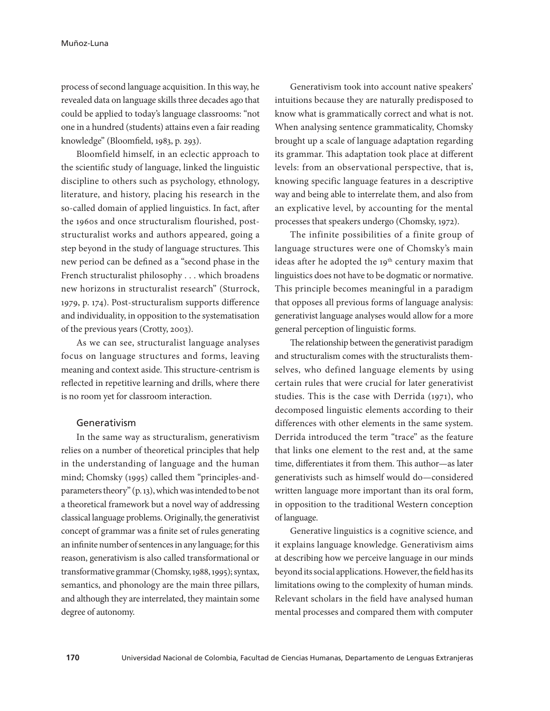process of second language acquisition. In this way, he revealed data on language skills three decades ago that could be applied to today's language classrooms: "not one in a hundred (students) attains even a fair reading knowledge" (Bloomfield, 1983, p. 293).

Bloomfield himself, in an eclectic approach to the scientific study of language, linked the linguistic discipline to others such as psychology, ethnology, literature, and history, placing his research in the so-called domain of applied linguistics. In fact, after the 1960s and once structuralism flourished, poststructuralist works and authors appeared, going a step beyond in the study of language structures. This new period can be defined as a "second phase in the French structuralist philosophy . . . which broadens new horizons in structuralist research" (Sturrock, 1979, p. 174). Post-structuralism supports difference and individuality, in opposition to the systematisation of the previous years (Crotty, 2003).

As we can see, structuralist language analyses focus on language structures and forms, leaving meaning and context aside. This structure-centrism is reflected in repetitive learning and drills, where there is no room yet for classroom interaction.

### Generativism

In the same way as structuralism, generativism relies on a number of theoretical principles that help in the understanding of language and the human mind; Chomsky (1995) called them "principles-andparameters theory" (p. 13), which was intended to be not a theoretical framework but a novel way of addressing classical language problems. Originally, the generativist concept of grammar was a finite set of rules generating an infinite number of sentences in any language; for this reason, generativism is also called transformational or transformative grammar (Chomsky, 1988, 1995); syntax, semantics, and phonology are the main three pillars, and although they are interrelated, they maintain some degree of autonomy.

Generativism took into account native speakers' intuitions because they are naturally predisposed to know what is grammatically correct and what is not. When analysing sentence grammaticality, Chomsky brought up a scale of language adaptation regarding its grammar. This adaptation took place at different levels: from an observational perspective, that is, knowing specific language features in a descriptive way and being able to interrelate them, and also from an explicative level, by accounting for the mental processes that speakers undergo (Chomsky, 1972).

The infinite possibilities of a finite group of language structures were one of Chomsky's main ideas after he adopted the 19<sup>th</sup> century maxim that linguistics does not have to be dogmatic or normative. This principle becomes meaningful in a paradigm that opposes all previous forms of language analysis: generativist language analyses would allow for a more general perception of linguistic forms.

The relationship between the generativist paradigm and structuralism comes with the structuralists themselves, who defined language elements by using certain rules that were crucial for later generativist studies. This is the case with Derrida (1971), who decomposed linguistic elements according to their differences with other elements in the same system. Derrida introduced the term "trace" as the feature that links one element to the rest and, at the same time, differentiates it from them. This author—as later generativists such as himself would do—considered written language more important than its oral form, in opposition to the traditional Western conception of language.

Generative linguistics is a cognitive science, and it explains language knowledge. Generativism aims at describing how we perceive language in our minds beyond its social applications. However, the field has its limitations owing to the complexity of human minds. Relevant scholars in the field have analysed human mental processes and compared them with computer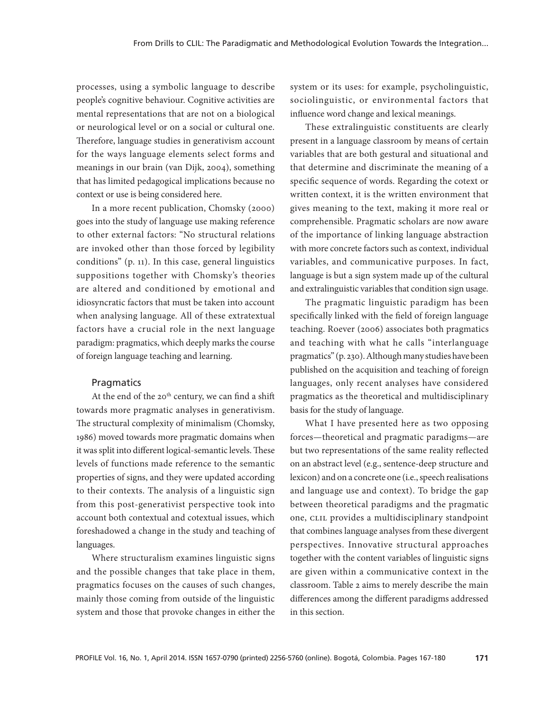processes, using a symbolic language to describe people's cognitive behaviour. Cognitive activities are mental representations that are not on a biological or neurological level or on a social or cultural one. Therefore, language studies in generativism account for the ways language elements select forms and meanings in our brain (van Dijk, 2004), something that has limited pedagogical implications because no context or use is being considered here.

In a more recent publication, Chomsky (2000) goes into the study of language use making reference to other external factors: "No structural relations are invoked other than those forced by legibility conditions" (p. 11). In this case, general linguistics suppositions together with Chomsky's theories are altered and conditioned by emotional and idiosyncratic factors that must be taken into account when analysing language. All of these extratextual factors have a crucial role in the next language paradigm: pragmatics, which deeply marks the course of foreign language teaching and learning.

#### **Pragmatics**

At the end of the  $20<sup>th</sup>$  century, we can find a shift towards more pragmatic analyses in generativism. The structural complexity of minimalism (Chomsky, 1986) moved towards more pragmatic domains when it was split into different logical-semantic levels. These levels of functions made reference to the semantic properties of signs, and they were updated according to their contexts. The analysis of a linguistic sign from this post-generativist perspective took into account both contextual and cotextual issues, which foreshadowed a change in the study and teaching of languages.

Where structuralism examines linguistic signs and the possible changes that take place in them, pragmatics focuses on the causes of such changes, mainly those coming from outside of the linguistic system and those that provoke changes in either the system or its uses: for example, psycholinguistic, sociolinguistic, or environmental factors that influence word change and lexical meanings.

These extralinguistic constituents are clearly present in a language classroom by means of certain variables that are both gestural and situational and that determine and discriminate the meaning of a specific sequence of words. Regarding the cotext or written context, it is the written environment that gives meaning to the text, making it more real or comprehensible. Pragmatic scholars are now aware of the importance of linking language abstraction with more concrete factors such as context, individual variables, and communicative purposes. In fact, language is but a sign system made up of the cultural and extralinguistic variables that condition sign usage.

The pragmatic linguistic paradigm has been specifically linked with the field of foreign language teaching. Roever (2006) associates both pragmatics and teaching with what he calls "interlanguage pragmatics" (p. 230). Although many studies have been published on the acquisition and teaching of foreign languages, only recent analyses have considered pragmatics as the theoretical and multidisciplinary basis for the study of language.

What I have presented here as two opposing forces—theoretical and pragmatic paradigms—are but two representations of the same reality reflected on an abstract level (e.g., sentence-deep structure and lexicon) and on a concrete one (i.e., speech realisations and language use and context). To bridge the gap between theoretical paradigms and the pragmatic one, CLIL provides a multidisciplinary standpoint that combines language analyses from these divergent perspectives. Innovative structural approaches together with the content variables of linguistic signs are given within a communicative context in the classroom. Table 2 aims to merely describe the main differences among the different paradigms addressed in this section.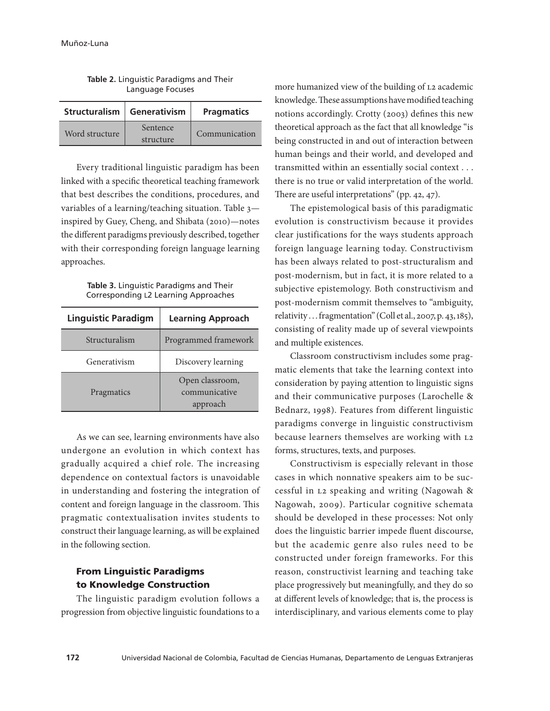|                | Structuralism   Generativism | <b>Pragmatics</b> |  |
|----------------|------------------------------|-------------------|--|
| Word structure | Sentence                     | Communication     |  |
|                | structure                    |                   |  |

| Table 2. Linguistic Paradigms and Their |  |
|-----------------------------------------|--|
| Language Focuses                        |  |

Every traditional linguistic paradigm has been linked with a specific theoretical teaching framework that best describes the conditions, procedures, and variables of a learning/teaching situation. Table 3 inspired by Guey, Cheng, and Shibata (2010)—notes the different paradigms previously described, together with their corresponding foreign language learning approaches.

| Table 3. Linguistic Paradigms and Their |  |
|-----------------------------------------|--|
| Corresponding L2 Learning Approaches    |  |

| <b>Linguistic Paradigm</b> | <b>Learning Approach</b>                     |  |
|----------------------------|----------------------------------------------|--|
| Structuralism              | Programmed framework                         |  |
| Generativism               | Discovery learning                           |  |
| Pragmatics                 | Open classroom,<br>communicative<br>approach |  |

As we can see, learning environments have also undergone an evolution in which context has gradually acquired a chief role. The increasing dependence on contextual factors is unavoidable in understanding and fostering the integration of content and foreign language in the classroom. This pragmatic contextualisation invites students to construct their language learning, as will be explained in the following section.

### From Linguistic Paradigms to Knowledge Construction

The linguistic paradigm evolution follows a progression from objective linguistic foundations to a more humanized view of the building of L2 academic knowledge. These assumptions have modified teaching notions accordingly. Crotty (2003) defines this new theoretical approach as the fact that all knowledge "is being constructed in and out of interaction between human beings and their world, and developed and transmitted within an essentially social context . . . there is no true or valid interpretation of the world. There are useful interpretations" (pp. 42, 47).

The epistemological basis of this paradigmatic evolution is constructivism because it provides clear justifications for the ways students approach foreign language learning today. Constructivism has been always related to post-structuralism and post-modernism, but in fact, it is more related to a subjective epistemology. Both constructivism and post-modernism commit themselves to "ambiguity, relativity . . . fragmentation" (Coll et al., 2007, p. 43, 185), consisting of reality made up of several viewpoints and multiple existences.

Classroom constructivism includes some pragmatic elements that take the learning context into consideration by paying attention to linguistic signs and their communicative purposes (Larochelle & Bednarz, 1998). Features from different linguistic paradigms converge in linguistic constructivism because learners themselves are working with L2 forms, structures, texts, and purposes.

Constructivism is especially relevant in those cases in which nonnative speakers aim to be successful in L2 speaking and writing (Nagowah & Nagowah, 2009). Particular cognitive schemata should be developed in these processes: Not only does the linguistic barrier impede fluent discourse, but the academic genre also rules need to be constructed under foreign frameworks. For this reason, constructivist learning and teaching take place progressively but meaningfully, and they do so at different levels of knowledge; that is, the process is interdisciplinary, and various elements come to play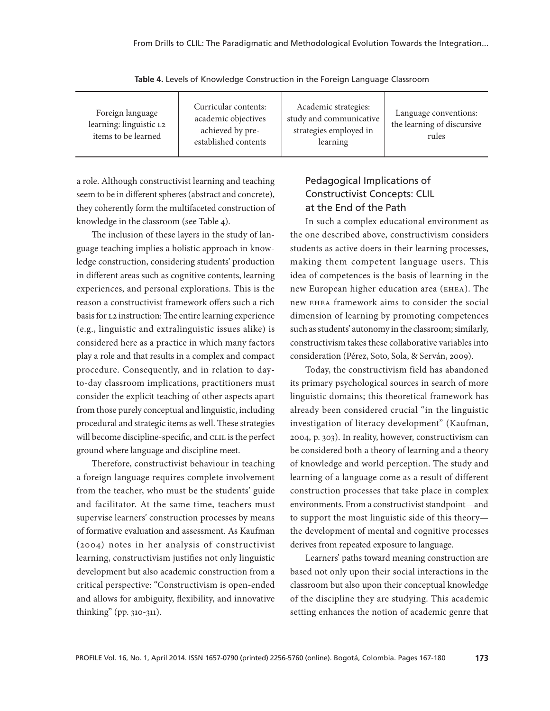| Foreign language<br>learning: linguistic L2<br>items to be learned | Curricular contents:<br>academic objectives<br>achieved by pre-<br>established contents | Academic strategies:<br>study and communicative<br>strategies employed in<br>learning | Language conventions:<br>the learning of discursive<br>rules |
|--------------------------------------------------------------------|-----------------------------------------------------------------------------------------|---------------------------------------------------------------------------------------|--------------------------------------------------------------|
|--------------------------------------------------------------------|-----------------------------------------------------------------------------------------|---------------------------------------------------------------------------------------|--------------------------------------------------------------|

**Table 4.** Levels of Knowledge Construction in the Foreign Language Classroom

a role. Although constructivist learning and teaching seem to be in different spheres (abstract and concrete), they coherently form the multifaceted construction of knowledge in the classroom (see Table 4).

The inclusion of these layers in the study of language teaching implies a holistic approach in knowledge construction, considering students' production in different areas such as cognitive contents, learning experiences, and personal explorations. This is the reason a constructivist framework offers such a rich basis for L2 instruction: The entire learning experience (e.g., linguistic and extralinguistic issues alike) is considered here as a practice in which many factors play a role and that results in a complex and compact procedure. Consequently, and in relation to dayto-day classroom implications, practitioners must consider the explicit teaching of other aspects apart from those purely conceptual and linguistic, including procedural and strategic items as well. These strategies will become discipline-specific, and CLIL is the perfect ground where language and discipline meet.

Therefore, constructivist behaviour in teaching a foreign language requires complete involvement from the teacher, who must be the students' guide and facilitator. At the same time, teachers must supervise learners' construction processes by means of formative evaluation and assessment. As Kaufman (2004) notes in her analysis of constructivist learning, constructivism justifies not only linguistic development but also academic construction from a critical perspective: "Constructivism is open-ended and allows for ambiguity, flexibility, and innovative thinking" (pp. 310-311).

# Pedagogical Implications of Constructivist Concepts: CLIL at the End of the Path

In such a complex educational environment as the one described above, constructivism considers students as active doers in their learning processes, making them competent language users. This idea of competences is the basis of learning in the new European higher education area (EHEA). The new EHEA framework aims to consider the social dimension of learning by promoting competences such as students' autonomy in the classroom; similarly, constructivism takes these collaborative variables into consideration (Pérez, Soto, Sola, & Serván, 2009).

Today, the constructivism field has abandoned its primary psychological sources in search of more linguistic domains; this theoretical framework has already been considered crucial "in the linguistic investigation of literacy development" (Kaufman, 2004, p. 303). In reality, however, constructivism can be considered both a theory of learning and a theory of knowledge and world perception. The study and learning of a language come as a result of different construction processes that take place in complex environments. From a constructivist standpoint—and to support the most linguistic side of this theory the development of mental and cognitive processes derives from repeated exposure to language.

Learners' paths toward meaning construction are based not only upon their social interactions in the classroom but also upon their conceptual knowledge of the discipline they are studying. This academic setting enhances the notion of academic genre that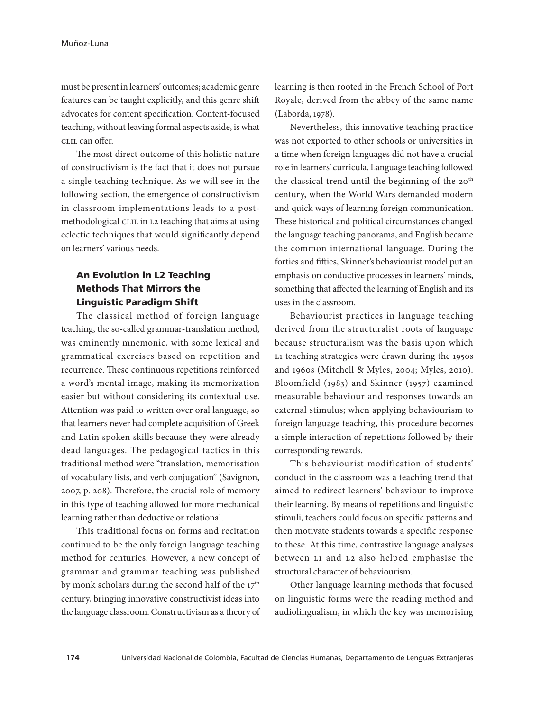must be present in learners' outcomes; academic genre features can be taught explicitly, and this genre shift advocates for content specification. Content-focused teaching, without leaving formal aspects aside, is what CLIL can offer.

The most direct outcome of this holistic nature of constructivism is the fact that it does not pursue a single teaching technique. As we will see in the following section, the emergence of constructivism in classroom implementations leads to a postmethodological CLIL in L2 teaching that aims at using eclectic techniques that would significantly depend on learners' various needs.

### An Evolution in L2 Teaching Methods That Mirrors the Linguistic Paradigm Shift

The classical method of foreign language teaching, the so-called grammar-translation method, was eminently mnemonic, with some lexical and grammatical exercises based on repetition and recurrence. These continuous repetitions reinforced a word's mental image, making its memorization easier but without considering its contextual use. Attention was paid to written over oral language, so that learners never had complete acquisition of Greek and Latin spoken skills because they were already dead languages. The pedagogical tactics in this traditional method were "translation, memorisation of vocabulary lists, and verb conjugation" (Savignon, 2007, p. 208). Therefore, the crucial role of memory in this type of teaching allowed for more mechanical learning rather than deductive or relational.

This traditional focus on forms and recitation continued to be the only foreign language teaching method for centuries. However, a new concept of grammar and grammar teaching was published by monk scholars during the second half of the  $17<sup>th</sup>$ century, bringing innovative constructivist ideas into the language classroom. Constructivism as a theory of learning is then rooted in the French School of Port Royale, derived from the abbey of the same name (Laborda, 1978).

Nevertheless, this innovative teaching practice was not exported to other schools or universities in a time when foreign languages did not have a crucial role in learners' curricula. Language teaching followed the classical trend until the beginning of the  $20<sup>th</sup>$ century, when the World Wars demanded modern and quick ways of learning foreign communication. These historical and political circumstances changed the language teaching panorama, and English became the common international language. During the forties and fifties, Skinner's behaviourist model put an emphasis on conductive processes in learners' minds, something that affected the learning of English and its uses in the classroom.

Behaviourist practices in language teaching derived from the structuralist roots of language because structuralism was the basis upon which L1 teaching strategies were drawn during the 1950s and 1960s (Mitchell & Myles, 2004; Myles, 2010). Bloomfield (1983) and Skinner (1957) examined measurable behaviour and responses towards an external stimulus; when applying behaviourism to foreign language teaching, this procedure becomes a simple interaction of repetitions followed by their corresponding rewards.

This behaviourist modification of students' conduct in the classroom was a teaching trend that aimed to redirect learners' behaviour to improve their learning. By means of repetitions and linguistic stimuli, teachers could focus on specific patterns and then motivate students towards a specific response to these. At this time, contrastive language analyses between L1 and L2 also helped emphasise the structural character of behaviourism.

Other language learning methods that focused on linguistic forms were the reading method and audiolingualism, in which the key was memorising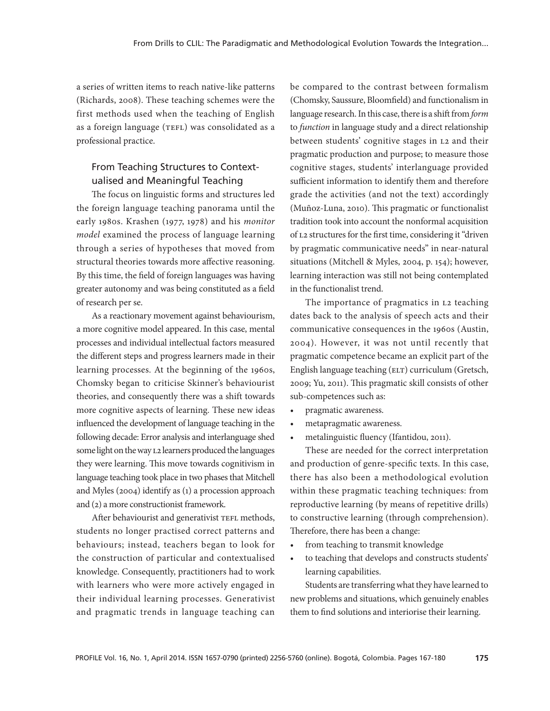a series of written items to reach native-like patterns (Richards, 2008). These teaching schemes were the first methods used when the teaching of English as a foreign language (TEFL) was consolidated as a professional practice.

### From Teaching Structures to Contextualised and Meaningful Teaching

The focus on linguistic forms and structures led the foreign language teaching panorama until the early 1980s. Krashen (1977, 1978) and his *monitor model* examined the process of language learning through a series of hypotheses that moved from structural theories towards more affective reasoning. By this time, the field of foreign languages was having greater autonomy and was being constituted as a field of research per se.

As a reactionary movement against behaviourism, a more cognitive model appeared. In this case, mental processes and individual intellectual factors measured the different steps and progress learners made in their learning processes. At the beginning of the 1960s, Chomsky began to criticise Skinner's behaviourist theories, and consequently there was a shift towards more cognitive aspects of learning. These new ideas influenced the development of language teaching in the following decade: Error analysis and interlanguage shed some light on the way L2 learners produced the languages they were learning. This move towards cognitivism in language teaching took place in two phases that Mitchell and Myles (2004) identify as (1) a procession approach and (2) a more constructionist framework.

After behaviourist and generativist TEFL methods, students no longer practised correct patterns and behaviours; instead, teachers began to look for the construction of particular and contextualised knowledge. Consequently, practitioners had to work with learners who were more actively engaged in their individual learning processes. Generativist and pragmatic trends in language teaching can

be compared to the contrast between formalism (Chomsky, Saussure, Bloomfield) and functionalism in language research. In this case, there is a shift from *form* to *function* in language study and a direct relationship between students' cognitive stages in L2 and their pragmatic production and purpose; to measure those cognitive stages, students' interlanguage provided sufficient information to identify them and therefore grade the activities (and not the text) accordingly (Muñoz-Luna, 2010). This pragmatic or functionalist tradition took into account the nonformal acquisition of L2 structures for the first time, considering it "driven by pragmatic communicative needs" in near-natural situations (Mitchell & Myles, 2004, p. 154); however, learning interaction was still not being contemplated in the functionalist trend.

The importance of pragmatics in L2 teaching dates back to the analysis of speech acts and their communicative consequences in the 1960s (Austin, 2004). However, it was not until recently that pragmatic competence became an explicit part of the English language teaching (ELT) curriculum (Gretsch, 2009; Yu, 2011). This pragmatic skill consists of other sub-competences such as:

- pragmatic awareness.
- • metapragmatic awareness.
- • metalinguistic fluency (Ifantidou, 2011).

These are needed for the correct interpretation and production of genre-specific texts. In this case, there has also been a methodological evolution within these pragmatic teaching techniques: from reproductive learning (by means of repetitive drills) to constructive learning (through comprehension). Therefore, there has been a change:

- from teaching to transmit knowledge
- to teaching that develops and constructs students' learning capabilities.

Students are transferring what they have learned to new problems and situations, which genuinely enables them to find solutions and interiorise their learning.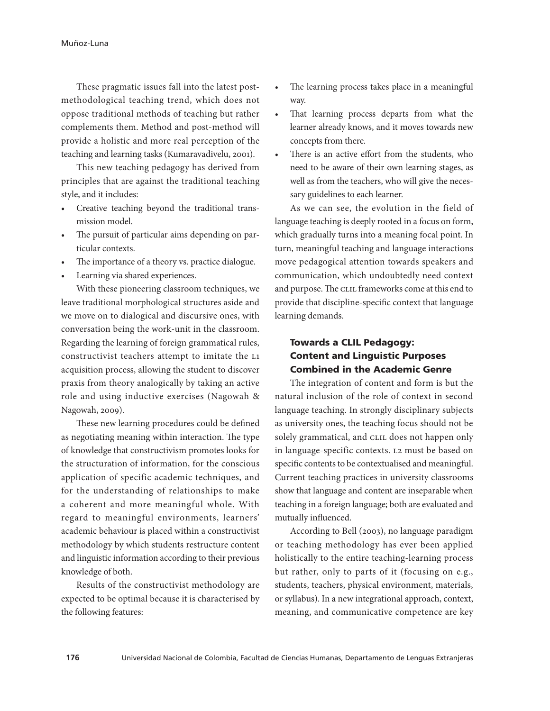These pragmatic issues fall into the latest postmethodological teaching trend, which does not oppose traditional methods of teaching but rather complements them. Method and post-method will provide a holistic and more real perception of the teaching and learning tasks (Kumaravadivelu, 2001).

This new teaching pedagogy has derived from principles that are against the traditional teaching style, and it includes:

- Creative teaching beyond the traditional transmission model.
- The pursuit of particular aims depending on particular contexts.
- The importance of a theory vs. practice dialogue.
- Learning via shared experiences.

With these pioneering classroom techniques, we leave traditional morphological structures aside and we move on to dialogical and discursive ones, with conversation being the work-unit in the classroom. Regarding the learning of foreign grammatical rules, constructivist teachers attempt to imitate the L1 acquisition process, allowing the student to discover praxis from theory analogically by taking an active role and using inductive exercises (Nagowah & Nagowah, 2009).

These new learning procedures could be defined as negotiating meaning within interaction. The type of knowledge that constructivism promotes looks for the structuration of information, for the conscious application of specific academic techniques, and for the understanding of relationships to make a coherent and more meaningful whole. With regard to meaningful environments, learners' academic behaviour is placed within a constructivist methodology by which students restructure content and linguistic information according to their previous knowledge of both.

Results of the constructivist methodology are expected to be optimal because it is characterised by the following features:

- The learning process takes place in a meaningful way.
- That learning process departs from what the learner already knows, and it moves towards new concepts from there.
- There is an active effort from the students, who need to be aware of their own learning stages, as well as from the teachers, who will give the necessary guidelines to each learner.

As we can see, the evolution in the field of language teaching is deeply rooted in a focus on form, which gradually turns into a meaning focal point. In turn, meaningful teaching and language interactions move pedagogical attention towards speakers and communication, which undoubtedly need context and purpose. The CLIL frameworks come at this end to provide that discipline-specific context that language learning demands.

# Towards a CLIL Pedagogy: Content and Linguistic Purposes Combined in the Academic Genre

The integration of content and form is but the natural inclusion of the role of context in second language teaching. In strongly disciplinary subjects as university ones, the teaching focus should not be solely grammatical, and CLIL does not happen only in language-specific contexts. L2 must be based on specific contents to be contextualised and meaningful. Current teaching practices in university classrooms show that language and content are inseparable when teaching in a foreign language; both are evaluated and mutually influenced.

According to Bell (2003), no language paradigm or teaching methodology has ever been applied holistically to the entire teaching-learning process but rather, only to parts of it (focusing on e.g., students, teachers, physical environment, materials, or syllabus). In a new integrational approach, context, meaning, and communicative competence are key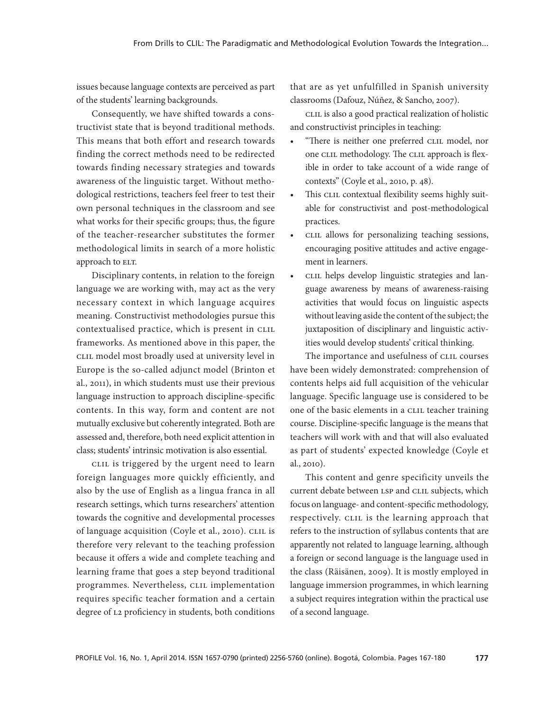issues because language contexts are perceived as part of the students' learning backgrounds.

Consequently, we have shifted towards a constructivist state that is beyond traditional methods. This means that both effort and research towards finding the correct methods need to be redirected towards finding necessary strategies and towards awareness of the linguistic target. Without methodological restrictions, teachers feel freer to test their own personal techniques in the classroom and see what works for their specific groups; thus, the figure of the teacher-researcher substitutes the former methodological limits in search of a more holistic approach to ELT.

Disciplinary contents, in relation to the foreign language we are working with, may act as the very necessary context in which language acquires meaning. Constructivist methodologies pursue this contextualised practice, which is present in CLIL frameworks. As mentioned above in this paper, the CLIL model most broadly used at university level in Europe is the so-called adjunct model (Brinton et al., 2011), in which students must use their previous language instruction to approach discipline-specific contents. In this way, form and content are not mutually exclusive but coherently integrated. Both are assessed and, therefore, both need explicit attention in class; students' intrinsic motivation is also essential.

CLIL is triggered by the urgent need to learn foreign languages more quickly efficiently, and also by the use of English as a lingua franca in all research settings, which turns researchers' attention towards the cognitive and developmental processes of language acquisition (Coyle et al., 2010). CLIL is therefore very relevant to the teaching profession because it offers a wide and complete teaching and learning frame that goes a step beyond traditional programmes. Nevertheless, CLIL implementation requires specific teacher formation and a certain degree of L2 proficiency in students, both conditions

that are as yet unfulfilled in Spanish university classrooms (Dafouz, Núñez, & Sancho, 2007).

CLIL is also a good practical realization of holistic and constructivist principles in teaching:

- "There is neither one preferred CLIL model, nor one CLIL methodology. The CLIL approach is flexible in order to take account of a wide range of contexts" (Coyle et al., 2010, p. 48).
- This CLIL contextual flexibility seems highly suitable for constructivist and post-methodological practices.
- CLIL allows for personalizing teaching sessions, encouraging positive attitudes and active engagement in learners.
- CLIL helps develop linguistic strategies and language awareness by means of awareness-raising activities that would focus on linguistic aspects without leaving aside the content of the subject; the juxtaposition of disciplinary and linguistic activities would develop students' critical thinking.

The importance and usefulness of CLIL courses have been widely demonstrated: comprehension of contents helps aid full acquisition of the vehicular language. Specific language use is considered to be one of the basic elements in a CLIL teacher training course. Discipline-specific language is the means that teachers will work with and that will also evaluated as part of students' expected knowledge (Coyle et al., 2010).

This content and genre specificity unveils the current debate between LSP and CLIL subjects, which focus on language- and content-specific methodology, respectively. CLIL is the learning approach that refers to the instruction of syllabus contents that are apparently not related to language learning, although a foreign or second language is the language used in the class (Räisänen, 2009). It is mostly employed in language immersion programmes, in which learning a subject requires integration within the practical use of a second language.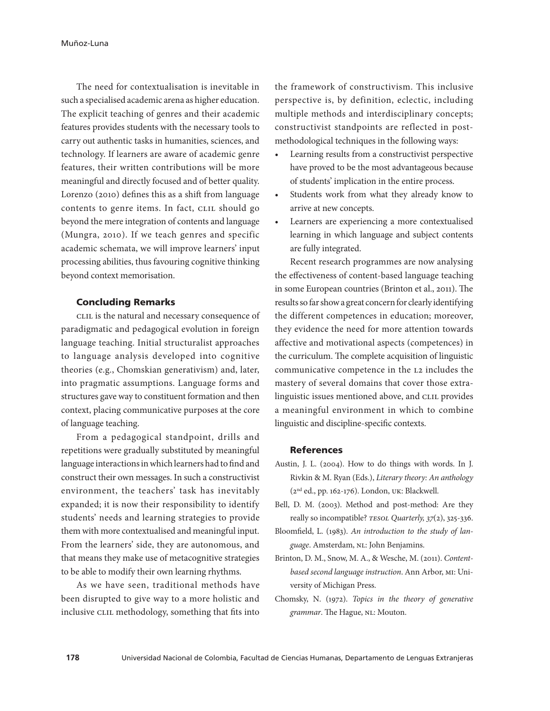The need for contextualisation is inevitable in such a specialised academic arena as higher education. The explicit teaching of genres and their academic features provides students with the necessary tools to carry out authentic tasks in humanities, sciences, and technology. If learners are aware of academic genre features, their written contributions will be more meaningful and directly focused and of better quality. Lorenzo (2010) defines this as a shift from language contents to genre items. In fact, CLIL should go beyond the mere integration of contents and language (Mungra, 2010). If we teach genres and specific academic schemata, we will improve learners' input processing abilities, thus favouring cognitive thinking beyond context memorisation.

### Concluding Remarks

CLIL is the natural and necessary consequence of paradigmatic and pedagogical evolution in foreign language teaching. Initial structuralist approaches to language analysis developed into cognitive theories (e.g., Chomskian generativism) and, later, into pragmatic assumptions. Language forms and structures gave way to constituent formation and then context, placing communicative purposes at the core of language teaching.

From a pedagogical standpoint, drills and repetitions were gradually substituted by meaningful language interactions in which learners had to find and construct their own messages. In such a constructivist environment, the teachers' task has inevitably expanded; it is now their responsibility to identify students' needs and learning strategies to provide them with more contextualised and meaningful input. From the learners' side, they are autonomous, and that means they make use of metacognitive strategies to be able to modify their own learning rhythms.

As we have seen, traditional methods have been disrupted to give way to a more holistic and inclusive CLIL methodology, something that fits into

the framework of constructivism. This inclusive perspective is, by definition, eclectic, including multiple methods and interdisciplinary concepts; constructivist standpoints are reflected in postmethodological techniques in the following ways:

- Learning results from a constructivist perspective have proved to be the most advantageous because of students' implication in the entire process.
- • Students work from what they already know to arrive at new concepts.
- Learners are experiencing a more contextualised learning in which language and subject contents are fully integrated.

Recent research programmes are now analysing the effectiveness of content-based language teaching in some European countries (Brinton et al., 2011). The results so far show a great concern for clearly identifying the different competences in education; moreover, they evidence the need for more attention towards affective and motivational aspects (competences) in the curriculum. The complete acquisition of linguistic communicative competence in the L2 includes the mastery of several domains that cover those extralinguistic issues mentioned above, and CLIL provides a meaningful environment in which to combine linguistic and discipline-specific contexts.

#### **References**

- Austin, J. L. (2004). How to do things with words. In J. Rivkin & M. Ryan (Eds.), *Literary theory: An anthology* (2nd ed., pp. 162-176). London, UK: Blackwell.
- Bell, D. M. (2003). Method and post-method: Are they really so incompatible? *TESOL Quarterly, 37*(2), 325-336.
- Bloomfield, L. (1983). *An introduction to the study of language*. Amsterdam, NL: John Benjamins.
- Brinton, D. M., Snow, M. A., & Wesche, M. (2011). *Contentbased second language instruction*. Ann Arbor, MI: University of Michigan Press.
- Chomsky, N. (1972). *Topics in the theory of generative grammar*. The Hague, NL: Mouton.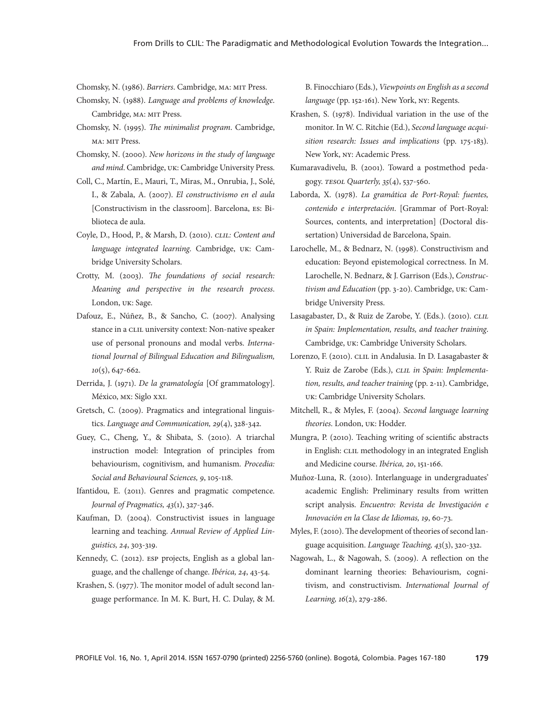Chomsky, N. (1986). *Barriers*. Cambridge, MA: MIT Press.

- Chomsky, N. (1988). *Language and problems of knowledge*. Cambridge, MA: MIT Press.
- Chomsky, N. (1995). *The minimalist program*. Cambridge, MA: MIT Press.
- Chomsky, N. (2000). *New horizons in the study of language and mind*. Cambridge, UK: Cambridge University Press.
- Coll, C., Martín, E., Mauri, T., Miras, M., Onrubia, J., Solé, I., & Zabala, A. (2007). *El constructivismo en el aula*  [Constructivism in the classroom]. Barcelona, ES: Biblioteca de aula.
- Coyle, D., Hood, P., & Marsh, D. (2010). *CLIL: Content and language integrated learning*. Cambridge, UK: Cambridge University Scholars.
- Crotty, M. (2003). *The foundations of social research: Meaning and perspective in the research process*. London, UK: Sage.
- Dafouz, E., Núñez, B., & Sancho, C. (2007). Analysing stance in a CLIL university context: Non-native speaker use of personal pronouns and modal verbs. *International Journal of Bilingual Education and Bilingualism, 10*(5), 647-662.
- Derrida, J. (1971). *De la gramatología* [Of grammatology]. México, MX: Siglo XXI.
- Gretsch, C. (2009). Pragmatics and integrational linguistics. *Language and Communication, 29*(4), 328-342.
- Guey, C., Cheng, Y., & Shibata, S. (2010). A triarchal instruction model: Integration of principles from behaviourism, cognitivism, and humanism. *Procedia: Social and Behavioural Sciences, 9*, 105-118.
- Ifantidou, E. (2011). Genres and pragmatic competence. *Journal of Pragmatics, 43*(1), 327-346.
- Kaufman, D. (2004). Constructivist issues in language learning and teaching. *Annual Review of Applied Linguistics, 24*, 303-319.
- Kennedy, C. (2012). ESP projects, English as a global language, and the challenge of change. *Ibérica, 24*, 43-54.
- Krashen, S. (1977). The monitor model of adult second language performance. In M. K. Burt, H. C. Dulay, & M.

B. Finocchiaro (Eds.), *Viewpoints on English as a second language* (pp. 152-161). New York, NY: Regents.

- Krashen, S. (1978). Individual variation in the use of the monitor. In W. C. Ritchie (Ed.), *Second language acquisition research: Issues and implications* (pp. 175-183)*.*  New York, NY: Academic Press.
- Kumaravadivelu, B. (2001). Toward a postmethod pedagogy. *TESOL Quarterly, 35*(4), 537-560.
- Laborda, X. (1978). *La gramática de Port-Royal: fuentes, contenido e interpretación*. [Grammar of Port-Royal: Sources, contents, and interpretation] (Doctoral dissertation) Universidad de Barcelona, Spain.
- Larochelle, M., & Bednarz, N. (1998). Constructivism and education: Beyond epistemological correctness. In M. Larochelle, N. Bednarz, & J. Garrison (Eds.), *Constructivism and Education* (pp. 3-20). Cambridge, UK: Cambridge University Press.
- Lasagabaster, D., & Ruiz de Zarobe, Y. (Eds.). (2010). *CLIL in Spain: Implementation, results, and teacher training*. Cambridge, UK: Cambridge University Scholars.
- Lorenzo, F. (2010). CLIL in Andalusia. In D. Lasagabaster & Y. Ruiz de Zarobe (Eds.), *CLIL in Spain: Implementation, results, and teacher training* (pp. 2-11). Cambridge, UK: Cambridge University Scholars.
- Mitchell, R., & Myles, F. (2004). *Second language learning theories*. London, UK: Hodder.
- Mungra, P. (2010). Teaching writing of scientific abstracts in English: CLIL methodology in an integrated English and Medicine course. *Ibérica, 20*, 151-166.
- Muñoz-Luna, R. (2010). Interlanguage in undergraduates' academic English: Preliminary results from written script analysis. *Encuentro: Revista de Investigación e Innovación en la Clase de Idiomas, 19*, 60-73.
- Myles, F. (2010). The development of theories of second language acquisition. *Language Teaching, 43*(3), 320-332.
- Nagowah, L., & Nagowah, S. (2009). A reflection on the dominant learning theories: Behaviourism, cognitivism, and constructivism. *International Journal of Learning, 16*(2), 279-286.